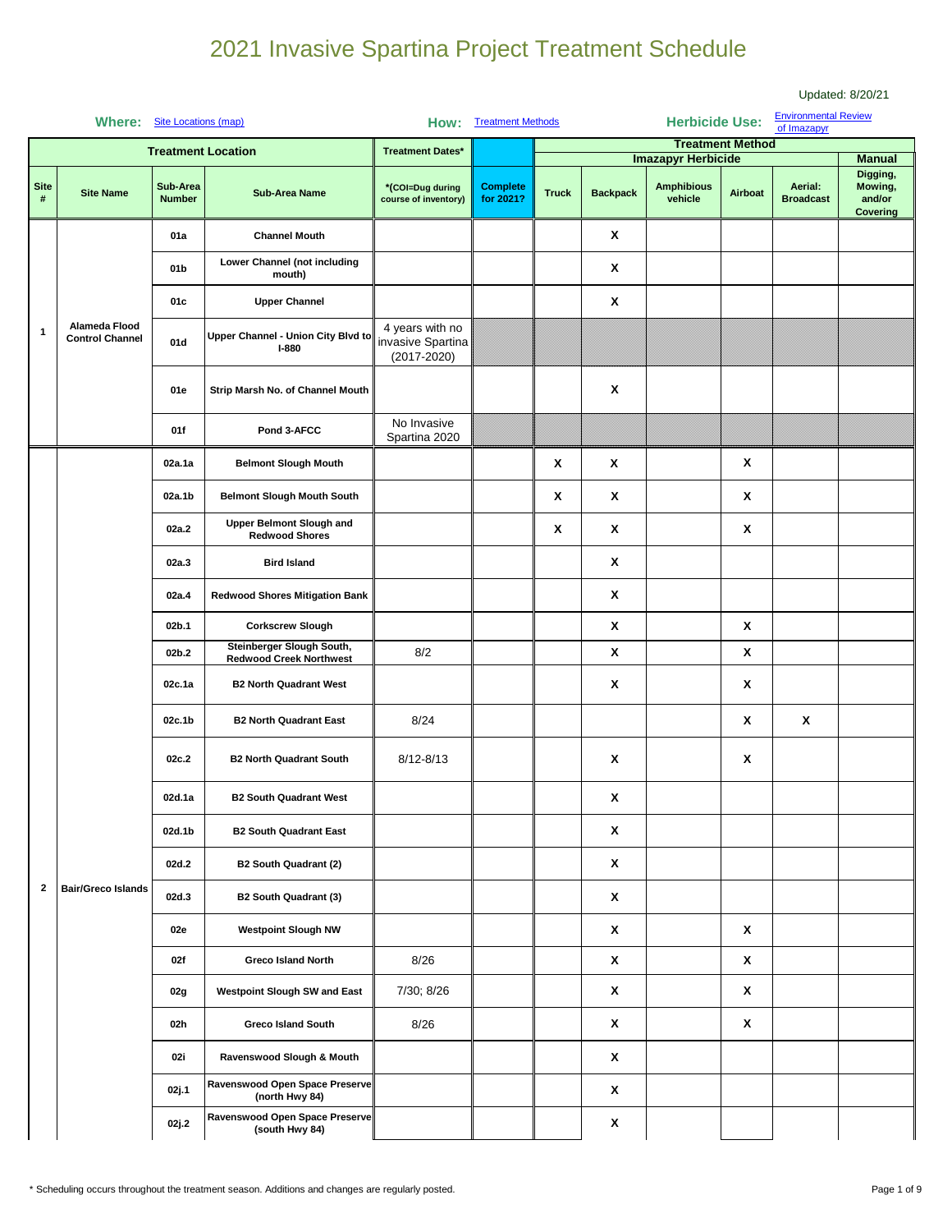|                  |                                         |                           |                                                             |                                                         |                              |                                                                                                           |   |                           |                         |                                            | Updated: 8/20/21                          |
|------------------|-----------------------------------------|---------------------------|-------------------------------------------------------------|---------------------------------------------------------|------------------------------|-----------------------------------------------------------------------------------------------------------|---|---------------------------|-------------------------|--------------------------------------------|-------------------------------------------|
|                  | Where: Site Locations (map)             |                           |                                                             |                                                         | How: Treatment Methods       |                                                                                                           |   | <b>Herbicide Use:</b>     |                         | <b>Environmental Review</b><br>of Imazapyr |                                           |
|                  |                                         |                           | <b>Treatment Location</b>                                   | <b>Treatment Dates*</b>                                 |                              |                                                                                                           |   | <b>Imazapyr Herbicide</b> | <b>Treatment Method</b> |                                            | <b>Manual</b>                             |
| <b>Site</b><br># | <b>Site Name</b>                        | Sub-Area<br><b>Number</b> | <b>Sub-Area Name</b>                                        | *(COI=Dug during<br>course of inventory)                | <b>Complete</b><br>for 2021? | <b>Amphibious</b><br>Aerial:<br>Airboat<br><b>Truck</b><br><b>Backpack</b><br>vehicle<br><b>Broadcast</b> |   |                           |                         |                                            | Digging,<br>Mowing,<br>and/or<br>Covering |
|                  |                                         | 01a                       | <b>Channel Mouth</b>                                        |                                                         |                              |                                                                                                           | X |                           |                         |                                            |                                           |
|                  |                                         | 01 <sub>b</sub>           | Lower Channel (not including<br>mouth)                      |                                                         |                              |                                                                                                           | X |                           |                         |                                            |                                           |
|                  |                                         | 01c                       | <b>Upper Channel</b>                                        |                                                         |                              |                                                                                                           | X |                           |                         |                                            |                                           |
| 1                | Alameda Flood<br><b>Control Channel</b> | 01d                       | Upper Channel - Union City Blvd to<br>$I-880$               | 4 years with no<br>invasive Spartina<br>$(2017 - 2020)$ |                              |                                                                                                           |   |                           |                         |                                            |                                           |
|                  |                                         | 01e                       | Strip Marsh No. of Channel Mouth                            |                                                         |                              |                                                                                                           | X |                           |                         |                                            |                                           |
|                  |                                         | 01f                       | Pond 3-AFCC                                                 | No Invasive<br>Spartina 2020                            |                              |                                                                                                           |   |                           |                         |                                            |                                           |
|                  |                                         | 02a.1a                    | <b>Belmont Slough Mouth</b>                                 |                                                         |                              | Χ                                                                                                         | Χ |                           | Χ                       |                                            |                                           |
|                  |                                         | 02a.1b                    | <b>Belmont Slough Mouth South</b>                           |                                                         |                              | X                                                                                                         | X |                           | Χ                       |                                            |                                           |
|                  |                                         | 02a.2                     | Upper Belmont Slough and<br><b>Redwood Shores</b>           |                                                         |                              | Χ                                                                                                         | X |                           | Χ                       |                                            |                                           |
|                  |                                         | 02a.3                     | <b>Bird Island</b>                                          |                                                         |                              |                                                                                                           | X |                           |                         |                                            |                                           |
|                  |                                         | 02a.4                     | <b>Redwood Shores Mitigation Bank</b>                       |                                                         |                              |                                                                                                           | X |                           |                         |                                            |                                           |
|                  |                                         | 02b.1                     | <b>Corkscrew Slough</b>                                     |                                                         |                              |                                                                                                           | X |                           | X                       |                                            |                                           |
|                  |                                         | 02b.2                     | Steinberger Slough South,<br><b>Redwood Creek Northwest</b> | 8/2                                                     |                              |                                                                                                           | X |                           | X                       |                                            |                                           |
|                  |                                         | 02c.1a                    | <b>B2 North Quadrant West</b>                               |                                                         |                              |                                                                                                           | X |                           | X                       |                                            |                                           |
|                  |                                         | 02c.1b                    | <b>B2 North Quadrant East</b>                               | 8/24                                                    |                              |                                                                                                           |   |                           | X                       | X                                          |                                           |
|                  |                                         | 02c.2                     | <b>B2 North Quadrant South</b>                              | $8/12 - 8/13$                                           |                              |                                                                                                           | X |                           | Χ                       |                                            |                                           |
|                  |                                         | 02d.1a                    | <b>B2 South Quadrant West</b>                               |                                                         |                              |                                                                                                           | X |                           |                         |                                            |                                           |
|                  |                                         | 02d.1b                    | <b>B2 South Quadrant East</b>                               |                                                         |                              |                                                                                                           | X |                           |                         |                                            |                                           |
|                  |                                         | 02d.2                     | <b>B2 South Quadrant (2)</b>                                |                                                         |                              |                                                                                                           | X |                           |                         |                                            |                                           |
| $\mathbf{2}$     | <b>Bair/Greco Islands</b>               | 02d.3                     | <b>B2 South Quadrant (3)</b>                                |                                                         |                              |                                                                                                           | X |                           |                         |                                            |                                           |
|                  |                                         | 02e                       | <b>Westpoint Slough NW</b>                                  |                                                         |                              |                                                                                                           | X |                           | X                       |                                            |                                           |
|                  |                                         | 02f                       | <b>Greco Island North</b>                                   | 8/26                                                    |                              |                                                                                                           | X |                           | X                       |                                            |                                           |
|                  |                                         | 02g                       | Westpoint Slough SW and East                                | 7/30; 8/26                                              |                              |                                                                                                           | X |                           | X                       |                                            |                                           |
|                  |                                         | 02h                       | <b>Greco Island South</b>                                   | 8/26                                                    |                              |                                                                                                           | X |                           | X                       |                                            |                                           |
|                  |                                         | 02i                       | Ravenswood Slough & Mouth                                   |                                                         |                              |                                                                                                           | X |                           |                         |                                            |                                           |
|                  |                                         | 02j.1                     | Ravenswood Open Space Preserve<br>(north Hwy 84)            |                                                         |                              |                                                                                                           | X |                           |                         |                                            |                                           |
|                  |                                         | 02j.2                     | Ravenswood Open Space Preserve<br>(south Hwy 84)            |                                                         |                              |                                                                                                           | X |                           |                         |                                            |                                           |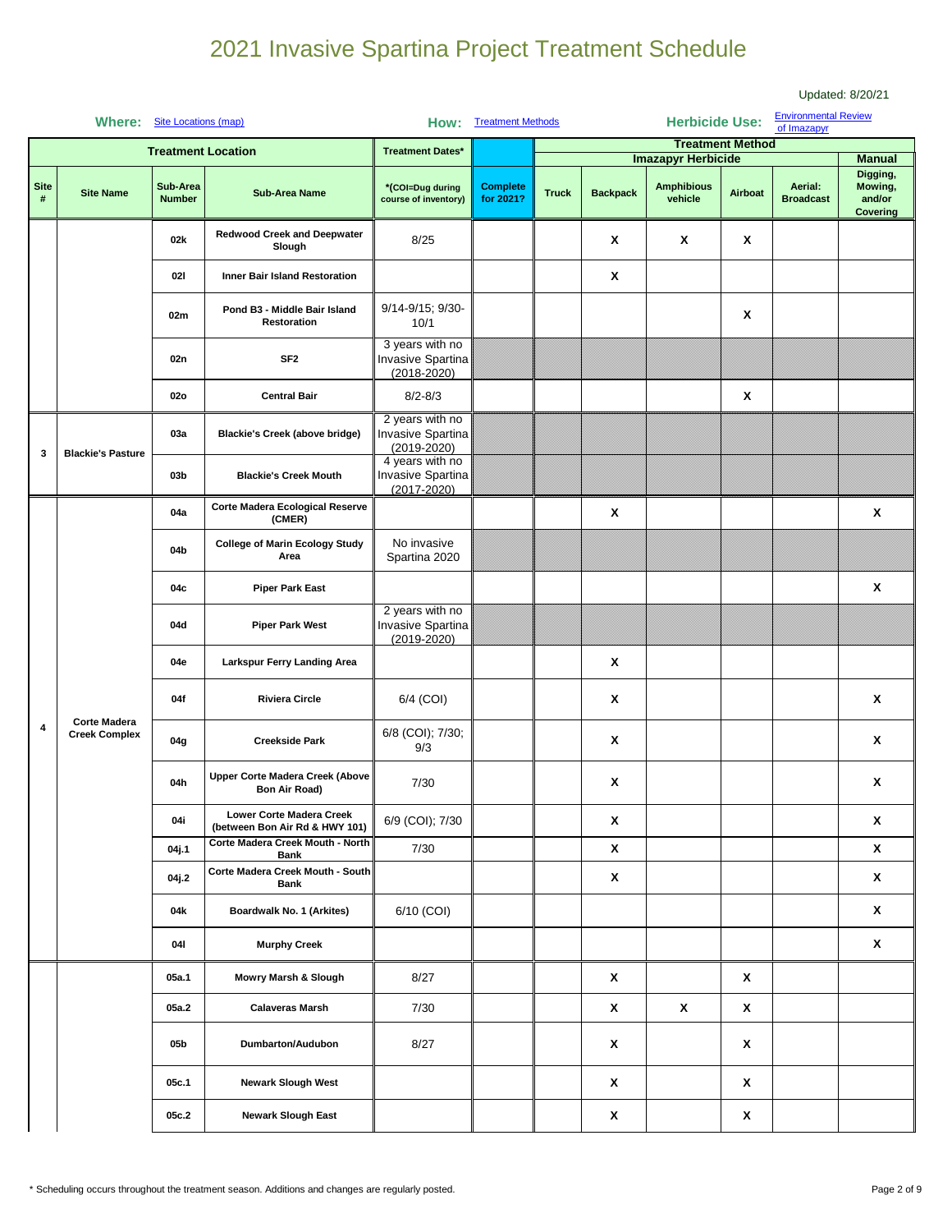|                  | Where: Site Locations (map) |                           |                                                                | How:                                                                 | <b>Treatment Methods</b>     |              |                                                                                                                                                                                                                                                                                                                                                                                                                                                                                                     |                  |   |  |                                                  |
|------------------|-----------------------------|---------------------------|----------------------------------------------------------------|----------------------------------------------------------------------|------------------------------|--------------|-----------------------------------------------------------------------------------------------------------------------------------------------------------------------------------------------------------------------------------------------------------------------------------------------------------------------------------------------------------------------------------------------------------------------------------------------------------------------------------------------------|------------------|---|--|--------------------------------------------------|
|                  |                             | <b>Treatment Location</b> |                                                                | <b>Treatment Dates*</b>                                              |                              |              |                                                                                                                                                                                                                                                                                                                                                                                                                                                                                                     |                  |   |  |                                                  |
| <b>Site</b><br># | <b>Site Name</b>            | Sub-Area<br><b>Number</b> | <b>Sub-Area Name</b>                                           | *(COI=Dug during<br>course of inventory)                             | <b>Complete</b><br>for 2021? | <b>Truck</b> | <b>Amphibious</b><br>Aerial:<br><b>Backpack</b><br>Airboat<br>vehicle<br><b>Broadcast</b>                                                                                                                                                                                                                                                                                                                                                                                                           |                  |   |  | Digging,<br>Mowing,<br>and/or<br><b>Covering</b> |
|                  |                             | 02k                       | <b>Redwood Creek and Deepwater</b><br>Slough                   | 8/25                                                                 |                              |              | X                                                                                                                                                                                                                                                                                                                                                                                                                                                                                                   | $\boldsymbol{x}$ | X |  |                                                  |
|                  |                             | 02I                       | <b>Inner Bair Island Restoration</b>                           |                                                                      |                              |              | Χ                                                                                                                                                                                                                                                                                                                                                                                                                                                                                                   |                  |   |  |                                                  |
|                  |                             | 02m                       | Pond B3 - Middle Bair Island<br>Restoration                    | 9/14-9/15; 9/30-<br>10/1                                             |                              |              |                                                                                                                                                                                                                                                                                                                                                                                                                                                                                                     |                  | X |  |                                                  |
|                  |                             | 02n                       | SF <sub>2</sub>                                                | 3 years with no<br>Invasive Spartina<br>$(2018 - 2020)$              |                              |              |                                                                                                                                                                                                                                                                                                                                                                                                                                                                                                     |                  |   |  |                                                  |
|                  |                             | <b>02o</b>                | <b>Central Bair</b>                                            | $8/2 - 8/3$                                                          |                              |              |                                                                                                                                                                                                                                                                                                                                                                                                                                                                                                     |                  | X |  |                                                  |
| 3                | <b>Blackie's Pasture</b>    | 03a                       | <b>Blackie's Creek (above bridge)</b>                          | 2 years with no<br>Invasive Spartina<br>$(2019 - 2020)$              |                              |              |                                                                                                                                                                                                                                                                                                                                                                                                                                                                                                     |                  |   |  |                                                  |
|                  |                             | 03 <sub>b</sub>           | <b>Blackie's Creek Mouth</b>                                   | 4 years with no<br>Invasive Spartina<br>$(2017 - 2020)$              |                              |              |                                                                                                                                                                                                                                                                                                                                                                                                                                                                                                     |                  |   |  |                                                  |
|                  |                             | 04a                       | Corte Madera Ecological Reserve<br>(CMER)                      |                                                                      |                              |              | Updated: 8/20/21<br><b>Environmental Review</b><br>of Imazapyr<br><b>Herbicide Use:</b><br><b>Treatment Method</b><br><b>Imazapyr Herbicide</b><br><b>Manual</b><br>X<br>$\boldsymbol{x}$<br>$\boldsymbol{x}$<br>X<br>X<br>$\boldsymbol{x}$<br>Χ<br>Χ<br>X<br>x<br>X<br>X<br>$\pmb{\mathsf{X}}$<br>$\pmb{\mathsf{x}}$<br>$\pmb{\mathsf{x}}$<br>$\pmb{\mathsf{X}}$<br>X<br>$\pmb{\mathsf{x}}$<br>X<br>$\boldsymbol{\mathsf{x}}$<br>$\pmb{\mathsf{x}}$<br>$\pmb{\mathsf{X}}$<br>X<br>X<br>X<br>X<br>X |                  |   |  |                                                  |
|                  |                             | 04b                       | <b>College of Marin Ecology Study</b><br>Area                  | No invasive<br>Spartina 2020                                         |                              |              |                                                                                                                                                                                                                                                                                                                                                                                                                                                                                                     |                  |   |  |                                                  |
|                  |                             | 04c                       | <b>Piper Park East</b>                                         |                                                                      |                              |              |                                                                                                                                                                                                                                                                                                                                                                                                                                                                                                     |                  |   |  |                                                  |
|                  |                             | 04d                       | <b>Piper Park West</b>                                         | 2 years with no<br>Invasive Spartina<br>$(2019 - 2020)$<br>6/4 (COI) |                              |              |                                                                                                                                                                                                                                                                                                                                                                                                                                                                                                     |                  |   |  |                                                  |
|                  |                             | 04e                       | Larkspur Ferry Landing Area                                    |                                                                      |                              |              |                                                                                                                                                                                                                                                                                                                                                                                                                                                                                                     |                  |   |  |                                                  |
|                  | <b>Corte Madera</b>         | 04f                       | <b>Riviera Circle</b>                                          |                                                                      |                              |              |                                                                                                                                                                                                                                                                                                                                                                                                                                                                                                     |                  |   |  |                                                  |
| 4                | <b>Creek Complex</b>        | 04g                       | <b>Creekside Park</b>                                          | 6/8 (COI); 7/30;<br>9/3                                              |                              |              |                                                                                                                                                                                                                                                                                                                                                                                                                                                                                                     |                  |   |  |                                                  |
|                  |                             | 04h                       | <b>Upper Corte Madera Creek (Above</b><br><b>Bon Air Road)</b> | $7/30$                                                               |                              |              |                                                                                                                                                                                                                                                                                                                                                                                                                                                                                                     |                  |   |  |                                                  |
|                  |                             | 04i                       | Lower Corte Madera Creek<br>(between Bon Air Rd & HWY 101)     | 6/9 (COI); 7/30                                                      |                              |              |                                                                                                                                                                                                                                                                                                                                                                                                                                                                                                     |                  |   |  |                                                  |
|                  |                             | 04j.1                     | Corte Madera Creek Mouth - North<br>Bank                       | 7/30                                                                 |                              |              |                                                                                                                                                                                                                                                                                                                                                                                                                                                                                                     |                  |   |  |                                                  |
|                  |                             | 04j.2                     | Corte Madera Creek Mouth - South<br><b>Bank</b>                |                                                                      |                              |              |                                                                                                                                                                                                                                                                                                                                                                                                                                                                                                     |                  |   |  |                                                  |
|                  |                             | 04k                       | Boardwalk No. 1 (Arkites)                                      | 6/10 (COI)                                                           |                              |              |                                                                                                                                                                                                                                                                                                                                                                                                                                                                                                     |                  |   |  |                                                  |
|                  |                             | 041                       | <b>Murphy Creek</b>                                            |                                                                      |                              |              |                                                                                                                                                                                                                                                                                                                                                                                                                                                                                                     |                  |   |  |                                                  |
|                  |                             | 05a.1                     | Mowry Marsh & Slough                                           | 8/27                                                                 |                              |              |                                                                                                                                                                                                                                                                                                                                                                                                                                                                                                     |                  |   |  |                                                  |
|                  |                             | 05a.2                     | <b>Calaveras Marsh</b>                                         | 7/30                                                                 |                              |              |                                                                                                                                                                                                                                                                                                                                                                                                                                                                                                     |                  |   |  |                                                  |
|                  |                             | 05b                       | Dumbarton/Audubon                                              | 8/27                                                                 |                              |              |                                                                                                                                                                                                                                                                                                                                                                                                                                                                                                     |                  |   |  |                                                  |
|                  |                             | 05c.1                     | <b>Newark Slough West</b>                                      |                                                                      |                              |              |                                                                                                                                                                                                                                                                                                                                                                                                                                                                                                     |                  |   |  |                                                  |
|                  |                             | 05c.2                     | <b>Newark Slough East</b>                                      |                                                                      |                              |              | X                                                                                                                                                                                                                                                                                                                                                                                                                                                                                                   |                  | X |  |                                                  |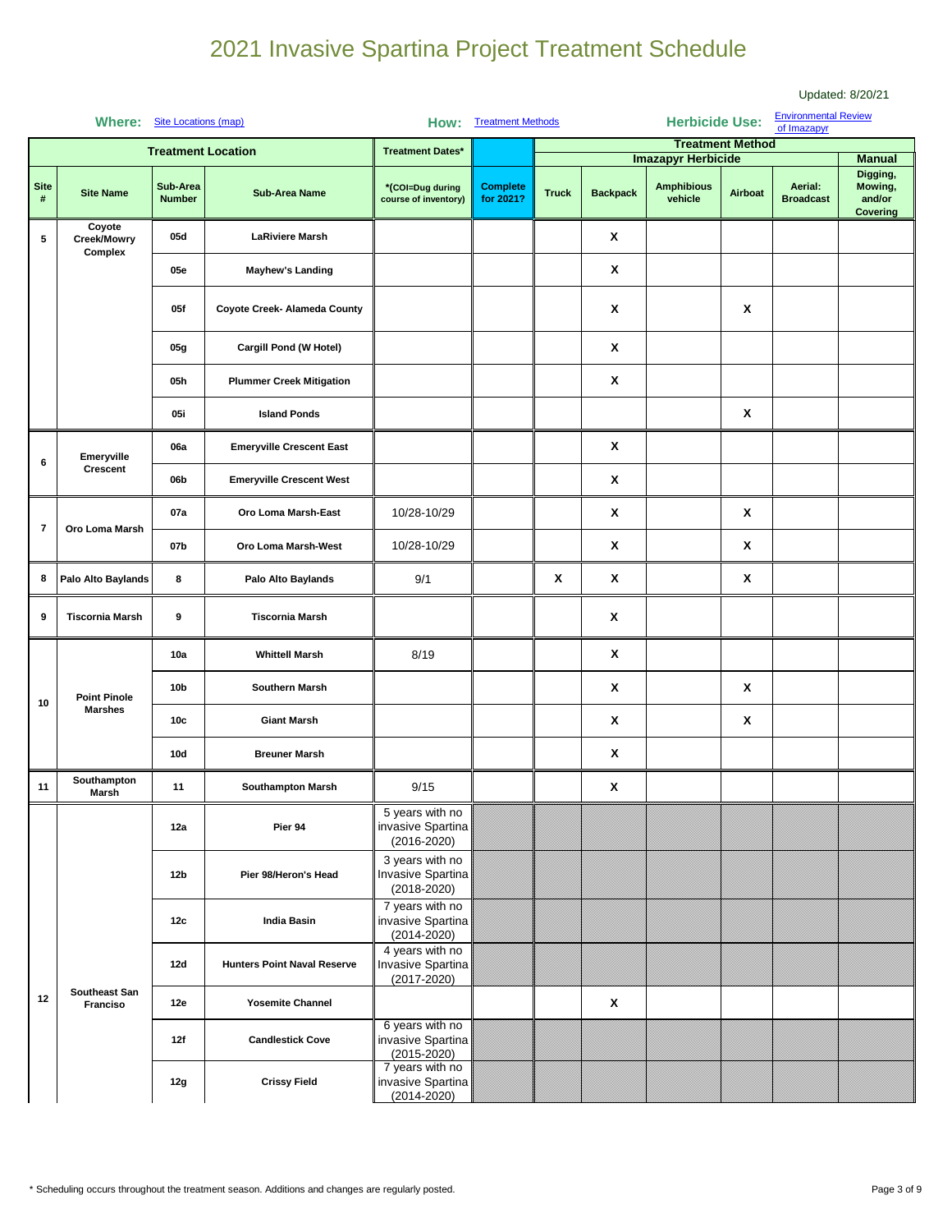|                  |                                       |                           |                                    |                                                         |                               |              |                 |                              |                         |                                            | Updated: 8/20/21              |  |
|------------------|---------------------------------------|---------------------------|------------------------------------|---------------------------------------------------------|-------------------------------|--------------|-----------------|------------------------------|-------------------------|--------------------------------------------|-------------------------------|--|
|                  | Where: Site Locations (map)           |                           |                                    |                                                         | <b>How:</b> Treatment Methods |              |                 | <b>Herbicide Use:</b>        |                         | <b>Environmental Review</b><br>of Imazapyr |                               |  |
|                  |                                       | <b>Treatment Location</b> |                                    | <b>Treatment Dates*</b>                                 |                               |              |                 |                              | <b>Treatment Method</b> |                                            |                               |  |
|                  |                                       |                           |                                    |                                                         |                               |              |                 | <b>Imazapyr Herbicide</b>    |                         |                                            | <b>Manual</b><br>Digging,     |  |
| <b>Site</b><br># | <b>Site Name</b>                      | Sub-Area<br><b>Number</b> | <b>Sub-Area Name</b>               | *(COI=Dug during<br>course of inventory)                | <b>Complete</b><br>for 2021?  | <b>Truck</b> | <b>Backpack</b> | <b>Amphibious</b><br>vehicle | Airboat                 | Aerial:<br><b>Broadcast</b>                | Mowing,<br>and/or<br>Covering |  |
| 5                | Coyote<br>Creek/Mowry<br>Complex      | 05d                       | <b>LaRiviere Marsh</b>             |                                                         |                               |              | X               |                              |                         |                                            |                               |  |
|                  |                                       | 05e                       | <b>Mayhew's Landing</b>            |                                                         |                               |              | X               |                              |                         |                                            |                               |  |
|                  |                                       | 05f                       | Coyote Creek- Alameda County       |                                                         |                               |              | X               |                              | Χ                       |                                            |                               |  |
|                  |                                       | 05g                       | Cargill Pond (W Hotel)             |                                                         |                               |              | X               |                              |                         |                                            |                               |  |
|                  |                                       | 05h                       | <b>Plummer Creek Mitigation</b>    |                                                         |                               |              | X               |                              |                         |                                            |                               |  |
|                  |                                       | 05i                       | <b>Island Ponds</b>                |                                                         |                               |              |                 |                              | Χ                       |                                            |                               |  |
| 6                | Emeryville<br>Crescent                | 06a                       | <b>Emeryville Crescent East</b>    |                                                         |                               |              | X               |                              |                         |                                            |                               |  |
|                  |                                       | 06b                       | <b>Emeryville Crescent West</b>    |                                                         |                               |              | X               |                              |                         |                                            |                               |  |
| $\bf 7$          | Oro Loma Marsh                        | 07a                       | Oro Loma Marsh-East                | 10/28-10/29                                             |                               |              | X               |                              | X                       |                                            |                               |  |
|                  |                                       | 07b                       | Oro Loma Marsh-West                | 10/28-10/29                                             |                               |              | X               |                              | X                       |                                            |                               |  |
| 8                | Palo Alto Baylands                    | 8                         | Palo Alto Baylands                 | 9/1                                                     |                               | X            | X               |                              | Χ                       |                                            |                               |  |
| 9                | <b>Tiscornia Marsh</b>                | $\boldsymbol{9}$          | <b>Tiscornia Marsh</b>             |                                                         |                               |              | X               |                              |                         |                                            |                               |  |
|                  |                                       | 10a                       | <b>Whittell Marsh</b>              | 8/19                                                    |                               |              | X               |                              |                         |                                            |                               |  |
| 10               | <b>Point Pinole</b><br><b>Marshes</b> | 10 <sub>b</sub>           | Southern Marsh                     |                                                         |                               |              | X               |                              | X                       |                                            |                               |  |
|                  |                                       | 10 <sub>c</sub>           | <b>Giant Marsh</b>                 |                                                         |                               |              | X               |                              | X                       |                                            |                               |  |
|                  |                                       | 10d                       | <b>Breuner Marsh</b>               |                                                         |                               |              | X               |                              |                         |                                            |                               |  |
| 11               | Southampton<br>Marsh                  | 11                        | <b>Southampton Marsh</b>           | 9/15                                                    |                               |              | X               |                              |                         |                                            |                               |  |
|                  |                                       | 12a                       | Pier 94                            | 5 years with no<br>invasive Spartina<br>$(2016 - 2020)$ |                               |              |                 |                              |                         |                                            |                               |  |
|                  |                                       | 12 <sub>b</sub>           | Pier 98/Heron's Head               | 3 years with no<br>Invasive Spartina<br>$(2018 - 2020)$ |                               |              |                 |                              |                         |                                            |                               |  |
|                  |                                       | 12c                       | <b>India Basin</b>                 | 7 years with no<br>invasive Spartina<br>$(2014 - 2020)$ |                               |              |                 |                              |                         |                                            |                               |  |
|                  |                                       | 12d                       | <b>Hunters Point Naval Reserve</b> | 4 years with no<br>Invasive Spartina<br>$(2017 - 2020)$ |                               |              |                 |                              |                         |                                            |                               |  |
| 12               | Southeast San<br>Franciso             | 12e                       | <b>Yosemite Channel</b>            |                                                         |                               |              | X               |                              |                         |                                            |                               |  |
|                  |                                       | 12f                       | <b>Candlestick Cove</b>            | 6 years with no<br>invasive Spartina<br>$(2015 - 2020)$ |                               |              |                 |                              |                         |                                            |                               |  |
|                  |                                       | 12g                       | <b>Crissy Field</b>                | 7 years with no<br>invasive Spartina<br>$(2014 - 2020)$ |                               |              |                 |                              |                         |                                            |                               |  |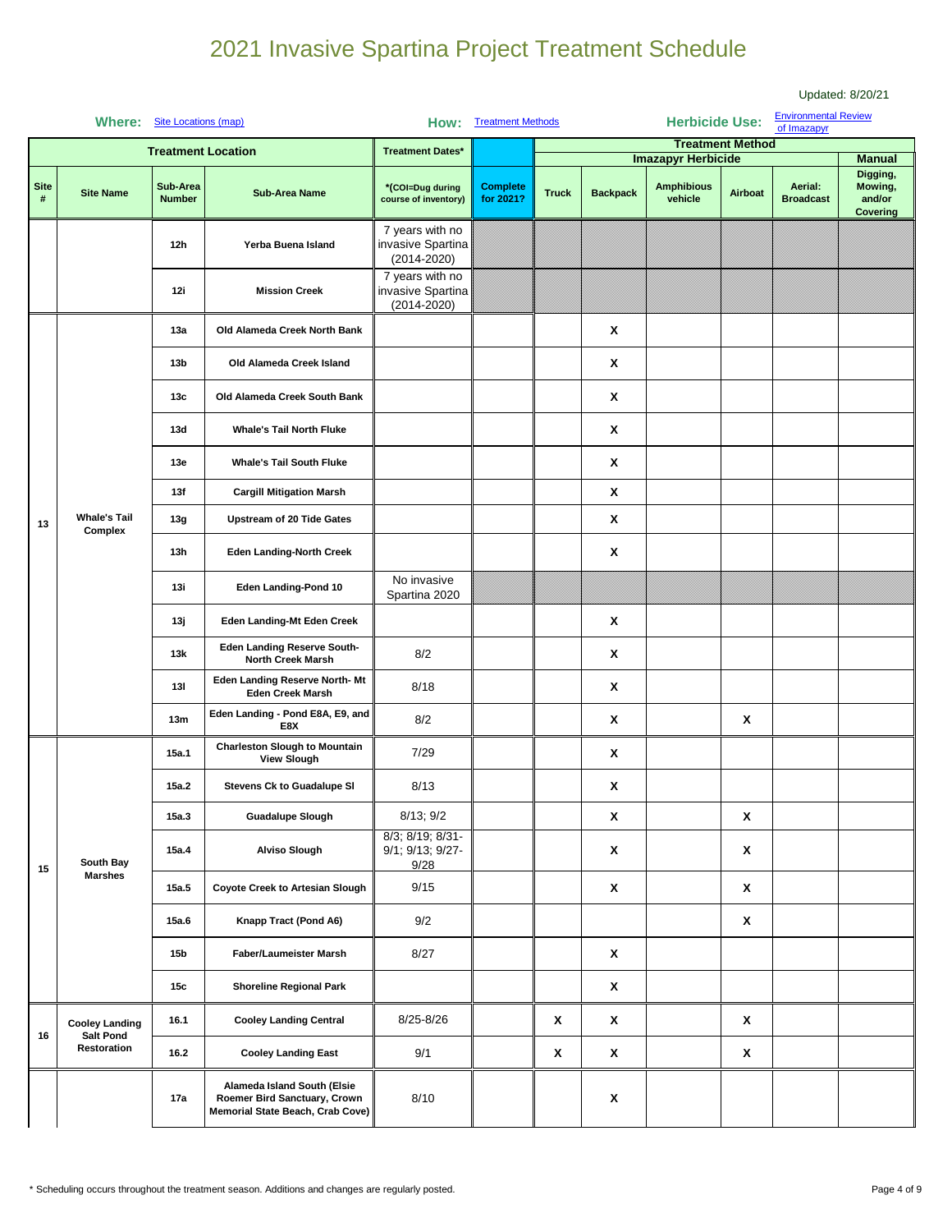|                  |                                           |                           |                                                                                                 |                                                         |                                                                                                                                                                                                              |              |                 |                              |                         |                                            | Updated: 8/20/21                          |
|------------------|-------------------------------------------|---------------------------|-------------------------------------------------------------------------------------------------|---------------------------------------------------------|--------------------------------------------------------------------------------------------------------------------------------------------------------------------------------------------------------------|--------------|-----------------|------------------------------|-------------------------|--------------------------------------------|-------------------------------------------|
|                  | <b>Where:</b> Site Locations (map)        |                           |                                                                                                 |                                                         | How: Treatment Methods                                                                                                                                                                                       |              |                 | <b>Herbicide Use:</b>        |                         | <b>Environmental Review</b><br>of Imazapyr |                                           |
|                  |                                           | <b>Treatment Location</b> |                                                                                                 | <b>Treatment Dates*</b>                                 |                                                                                                                                                                                                              |              |                 |                              | <b>Treatment Method</b> |                                            |                                           |
|                  |                                           |                           |                                                                                                 |                                                         |                                                                                                                                                                                                              |              |                 | <b>Imazapyr Herbicide</b>    |                         |                                            | <b>Manual</b>                             |
| <b>Site</b><br># | <b>Site Name</b>                          | Sub-Area<br><b>Number</b> | <b>Sub-Area Name</b>                                                                            | *(COI=Dug during<br>course of inventory)                | <b>Complete</b><br>for 2021?                                                                                                                                                                                 | <b>Truck</b> | <b>Backpack</b> | <b>Amphibious</b><br>vehicle | Airboat                 | Aerial:<br><b>Broadcast</b>                | Digging,<br>Mowing,<br>and/or<br>Covering |
|                  |                                           | 12h                       | Yerba Buena Island                                                                              | 7 years with no<br>invasive Spartina<br>$(2014 - 2020)$ |                                                                                                                                                                                                              |              |                 |                              |                         |                                            |                                           |
|                  |                                           | 12i                       | <b>Mission Creek</b>                                                                            | 7 years with no<br>invasive Spartina<br>$(2014 - 2020)$ |                                                                                                                                                                                                              |              |                 |                              |                         |                                            |                                           |
|                  |                                           | 13a                       | Old Alameda Creek North Bank                                                                    |                                                         | X<br>X<br>X<br>X<br>X<br>X<br>X<br>X<br>Χ<br>X<br>8/2<br>X<br>8/18<br>8/2<br>X<br>Χ<br>7/29<br>X<br>8/13<br>X<br>8/13; 9/2<br>X<br>X<br>X<br>X<br>9/28<br>9/15<br>X<br>X<br>9/2<br>$\boldsymbol{\mathsf{x}}$ |              |                 |                              |                         |                                            |                                           |
|                  |                                           | 13 <sub>b</sub>           | Old Alameda Creek Island                                                                        |                                                         |                                                                                                                                                                                                              |              |                 |                              |                         |                                            |                                           |
|                  |                                           | 13c                       | Old Alameda Creek South Bank                                                                    |                                                         |                                                                                                                                                                                                              |              |                 |                              |                         |                                            |                                           |
|                  |                                           | 13d                       | <b>Whale's Tail North Fluke</b>                                                                 |                                                         |                                                                                                                                                                                                              |              |                 |                              |                         |                                            |                                           |
|                  |                                           | 13e                       | <b>Whale's Tail South Fluke</b>                                                                 |                                                         |                                                                                                                                                                                                              |              |                 |                              |                         |                                            |                                           |
|                  |                                           | 13f                       | <b>Cargill Mitigation Marsh</b>                                                                 |                                                         |                                                                                                                                                                                                              |              |                 |                              |                         |                                            |                                           |
| 13               | <b>Whale's Tail</b><br>Complex            | 13g                       | <b>Upstream of 20 Tide Gates</b>                                                                | No invasive<br>Spartina 2020                            |                                                                                                                                                                                                              |              |                 |                              |                         |                                            |                                           |
|                  |                                           | 13h                       | <b>Eden Landing-North Creek</b>                                                                 |                                                         |                                                                                                                                                                                                              |              |                 |                              |                         |                                            |                                           |
|                  |                                           | 13i                       | Eden Landing-Pond 10                                                                            |                                                         |                                                                                                                                                                                                              |              |                 |                              |                         |                                            |                                           |
|                  |                                           | 13ј                       | Eden Landing-Mt Eden Creek                                                                      |                                                         |                                                                                                                                                                                                              |              |                 |                              |                         |                                            |                                           |
|                  |                                           | 13k                       | <b>Eden Landing Reserve South-</b><br><b>North Creek Marsh</b>                                  |                                                         |                                                                                                                                                                                                              |              |                 |                              |                         |                                            |                                           |
|                  |                                           | 13I                       | Eden Landing Reserve North-Mt<br><b>Eden Creek Marsh</b>                                        |                                                         |                                                                                                                                                                                                              |              |                 |                              |                         |                                            |                                           |
|                  |                                           | 13m                       | Eden Landing - Pond E8A, E9, and<br>E8X                                                         |                                                         |                                                                                                                                                                                                              |              |                 |                              |                         |                                            |                                           |
|                  |                                           | 15a.1                     | <b>Charleston Slough to Mountain</b><br><b>View Slough</b>                                      |                                                         |                                                                                                                                                                                                              |              |                 |                              |                         |                                            |                                           |
|                  |                                           | 15a.2                     | Stevens Ck to Guadalupe SI                                                                      |                                                         |                                                                                                                                                                                                              |              |                 |                              |                         |                                            |                                           |
|                  |                                           | 15a.3                     | <b>Guadalupe Slough</b>                                                                         |                                                         |                                                                                                                                                                                                              |              |                 |                              |                         |                                            |                                           |
| 15               | South Bay                                 | 15a.4                     | <b>Alviso Slough</b>                                                                            | 8/3; 8/19; 8/31-<br>9/1; 9/13; 9/27-                    |                                                                                                                                                                                                              |              |                 |                              |                         |                                            |                                           |
|                  | <b>Marshes</b>                            | 15a.5                     | <b>Coyote Creek to Artesian Slough</b>                                                          |                                                         |                                                                                                                                                                                                              |              |                 |                              |                         |                                            |                                           |
|                  |                                           | 15a.6                     | Knapp Tract (Pond A6)                                                                           |                                                         |                                                                                                                                                                                                              |              |                 |                              |                         |                                            |                                           |
|                  |                                           | <b>15b</b>                | Faber/Laumeister Marsh                                                                          | 8/27                                                    |                                                                                                                                                                                                              |              | X               |                              |                         |                                            |                                           |
|                  |                                           | 15c                       | <b>Shoreline Regional Park</b>                                                                  |                                                         |                                                                                                                                                                                                              |              | X               |                              |                         |                                            |                                           |
| 16               | <b>Cooley Landing</b><br><b>Salt Pond</b> | 16.1                      | <b>Cooley Landing Central</b>                                                                   | 8/25-8/26                                               |                                                                                                                                                                                                              | X            | X               |                              | X                       |                                            |                                           |
|                  | Restoration                               | 16.2                      | <b>Cooley Landing East</b>                                                                      | 9/1                                                     |                                                                                                                                                                                                              | X            | X               |                              | X                       |                                            |                                           |
|                  |                                           | 17a                       | Alameda Island South (Elsie<br>Roemer Bird Sanctuary, Crown<br>Memorial State Beach, Crab Cove) | 8/10                                                    |                                                                                                                                                                                                              |              | X               |                              |                         |                                            |                                           |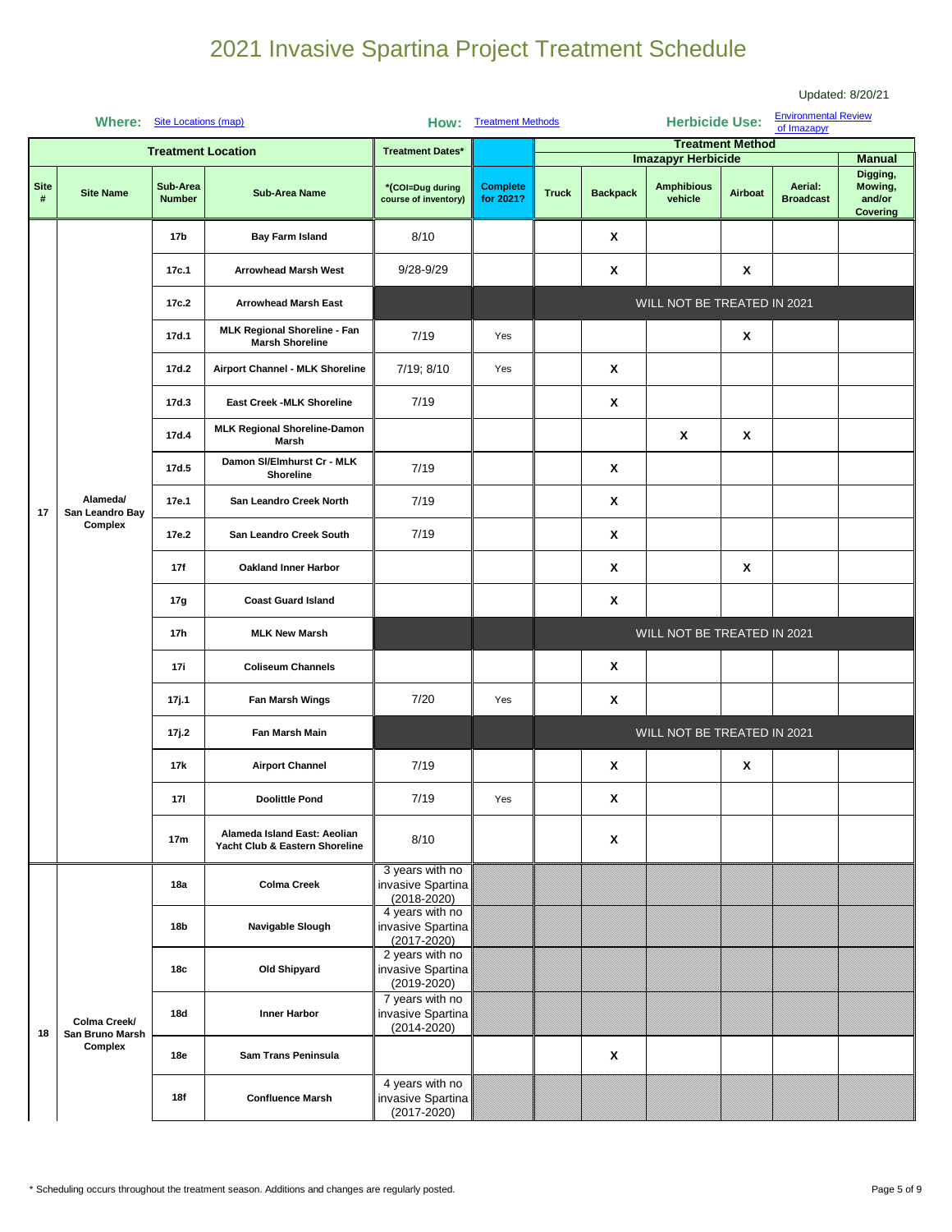|                     |                                            |                                                                                                                                                                                                                                                                                                                                                                                                                                                                                                                                                                                                                                                                                                                                                                                                            |                                                                |                                                         |                                                                                                                 |              |                 |                              |                         |                             | Updated: 8/20/21                          |  |
|---------------------|--------------------------------------------|------------------------------------------------------------------------------------------------------------------------------------------------------------------------------------------------------------------------------------------------------------------------------------------------------------------------------------------------------------------------------------------------------------------------------------------------------------------------------------------------------------------------------------------------------------------------------------------------------------------------------------------------------------------------------------------------------------------------------------------------------------------------------------------------------------|----------------------------------------------------------------|---------------------------------------------------------|-----------------------------------------------------------------------------------------------------------------|--------------|-----------------|------------------------------|-------------------------|-----------------------------|-------------------------------------------|--|
|                     | Where: Site Locations (map)                |                                                                                                                                                                                                                                                                                                                                                                                                                                                                                                                                                                                                                                                                                                                                                                                                            |                                                                |                                                         | <b>How: Treatment Methods</b>                                                                                   |              |                 | <b>Herbicide Use:</b>        |                         | <b>Environmental Review</b> |                                           |  |
|                     |                                            |                                                                                                                                                                                                                                                                                                                                                                                                                                                                                                                                                                                                                                                                                                                                                                                                            |                                                                |                                                         |                                                                                                                 |              |                 |                              |                         | of Imazapyr                 |                                           |  |
|                     |                                            | <b>Treatment Location</b>                                                                                                                                                                                                                                                                                                                                                                                                                                                                                                                                                                                                                                                                                                                                                                                  |                                                                | <b>Treatment Dates*</b>                                 |                                                                                                                 |              |                 | <b>Imazapyr Herbicide</b>    | <b>Treatment Method</b> |                             | <b>Manual</b>                             |  |
| <b>Site</b><br>$\#$ | <b>Site Name</b>                           | Sub-Area<br><b>Number</b>                                                                                                                                                                                                                                                                                                                                                                                                                                                                                                                                                                                                                                                                                                                                                                                  | <b>Sub-Area Name</b>                                           | *(COI=Dug during<br>course of inventory)                | <b>Complete</b><br>for 2021?                                                                                    | <b>Truck</b> | <b>Backpack</b> | <b>Amphibious</b><br>vehicle | Airboat                 | Aerial:<br><b>Broadcast</b> | Digging,<br>Mowing,<br>and/or<br>Covering |  |
|                     |                                            | 8/10<br>X<br><b>Bay Farm Island</b><br>17b<br>X<br>17c.1<br><b>Arrowhead Marsh West</b><br>$9/28 - 9/29$<br>X<br>17c.2<br><b>Arrowhead Marsh East</b><br>MLK Regional Shoreline - Fan<br>7/19<br>X<br>17d.1<br>Yes<br><b>Marsh Shoreline</b><br>7/19; 8/10<br>X<br>17d.2<br>Airport Channel - MLK Shoreline<br>Yes<br>7/19<br>Χ<br>17d.3<br><b>East Creek -MLK Shoreline</b><br><b>MLK Regional Shoreline-Damon</b><br>17d.4<br>X<br>$\boldsymbol{\mathsf{x}}$<br>Marsh<br>Damon SI/Elmhurst Cr - MLK<br>X<br>7/19<br>17d.5<br>Shoreline<br>X<br>7/19<br>17e.1<br>San Leandro Creek North<br>7/19<br>17e.2<br>San Leandro Creek South<br>X<br>X<br>17f<br>X<br><b>Oakland Inner Harbor</b><br>X<br><b>Coast Guard Island</b><br>17g<br>17h<br><b>MLK New Marsh</b><br>X<br><b>Coliseum Channels</b><br>17i |                                                                |                                                         |                                                                                                                 |              |                 |                              |                         |                             |                                           |  |
|                     |                                            |                                                                                                                                                                                                                                                                                                                                                                                                                                                                                                                                                                                                                                                                                                                                                                                                            |                                                                |                                                         |                                                                                                                 |              |                 |                              |                         |                             |                                           |  |
|                     |                                            |                                                                                                                                                                                                                                                                                                                                                                                                                                                                                                                                                                                                                                                                                                                                                                                                            |                                                                |                                                         | WILL NOT BE TREATED IN 2021<br>WILL NOT BE TREATED IN 2021<br>X<br>Yes<br>WILL NOT BE TREATED IN 2021<br>Χ<br>X |              |                 |                              |                         |                             |                                           |  |
|                     |                                            |                                                                                                                                                                                                                                                                                                                                                                                                                                                                                                                                                                                                                                                                                                                                                                                                            |                                                                |                                                         |                                                                                                                 |              |                 |                              |                         |                             |                                           |  |
|                     |                                            |                                                                                                                                                                                                                                                                                                                                                                                                                                                                                                                                                                                                                                                                                                                                                                                                            |                                                                |                                                         |                                                                                                                 |              |                 |                              |                         |                             |                                           |  |
|                     |                                            |                                                                                                                                                                                                                                                                                                                                                                                                                                                                                                                                                                                                                                                                                                                                                                                                            |                                                                |                                                         |                                                                                                                 |              |                 |                              |                         |                             |                                           |  |
|                     |                                            |                                                                                                                                                                                                                                                                                                                                                                                                                                                                                                                                                                                                                                                                                                                                                                                                            |                                                                |                                                         |                                                                                                                 |              |                 |                              |                         |                             |                                           |  |
|                     |                                            |                                                                                                                                                                                                                                                                                                                                                                                                                                                                                                                                                                                                                                                                                                                                                                                                            |                                                                |                                                         |                                                                                                                 |              |                 |                              |                         |                             |                                           |  |
| 17                  | Alameda/<br>San Leandro Bay                |                                                                                                                                                                                                                                                                                                                                                                                                                                                                                                                                                                                                                                                                                                                                                                                                            |                                                                |                                                         |                                                                                                                 |              |                 |                              |                         |                             |                                           |  |
|                     |                                            | Complex                                                                                                                                                                                                                                                                                                                                                                                                                                                                                                                                                                                                                                                                                                                                                                                                    |                                                                |                                                         |                                                                                                                 |              |                 |                              |                         |                             |                                           |  |
|                     |                                            |                                                                                                                                                                                                                                                                                                                                                                                                                                                                                                                                                                                                                                                                                                                                                                                                            |                                                                |                                                         |                                                                                                                 |              |                 |                              |                         |                             |                                           |  |
|                     |                                            |                                                                                                                                                                                                                                                                                                                                                                                                                                                                                                                                                                                                                                                                                                                                                                                                            |                                                                |                                                         |                                                                                                                 |              |                 |                              |                         |                             |                                           |  |
|                     |                                            |                                                                                                                                                                                                                                                                                                                                                                                                                                                                                                                                                                                                                                                                                                                                                                                                            |                                                                |                                                         |                                                                                                                 |              |                 |                              |                         |                             |                                           |  |
|                     |                                            |                                                                                                                                                                                                                                                                                                                                                                                                                                                                                                                                                                                                                                                                                                                                                                                                            |                                                                |                                                         |                                                                                                                 |              |                 |                              |                         |                             |                                           |  |
|                     |                                            | 17j.1                                                                                                                                                                                                                                                                                                                                                                                                                                                                                                                                                                                                                                                                                                                                                                                                      | Fan Marsh Wings                                                | 7/20                                                    |                                                                                                                 |              |                 |                              |                         |                             |                                           |  |
|                     |                                            | 17j.2                                                                                                                                                                                                                                                                                                                                                                                                                                                                                                                                                                                                                                                                                                                                                                                                      | Fan Marsh Main                                                 |                                                         |                                                                                                                 |              |                 |                              |                         |                             |                                           |  |
|                     |                                            | 17k                                                                                                                                                                                                                                                                                                                                                                                                                                                                                                                                                                                                                                                                                                                                                                                                        | <b>Airport Channel</b>                                         | 7/19                                                    |                                                                                                                 |              |                 |                              |                         |                             |                                           |  |
|                     |                                            | 171                                                                                                                                                                                                                                                                                                                                                                                                                                                                                                                                                                                                                                                                                                                                                                                                        | <b>Doolittle Pond</b>                                          | 7/19                                                    | Yes                                                                                                             |              | X               |                              |                         |                             |                                           |  |
|                     |                                            | 17 <sub>m</sub>                                                                                                                                                                                                                                                                                                                                                                                                                                                                                                                                                                                                                                                                                                                                                                                            | Alameda Island East: Aeolian<br>Yacht Club & Eastern Shoreline | 8/10                                                    |                                                                                                                 |              | X               |                              |                         |                             |                                           |  |
|                     |                                            | 18a                                                                                                                                                                                                                                                                                                                                                                                                                                                                                                                                                                                                                                                                                                                                                                                                        | <b>Colma Creek</b>                                             | 3 years with no<br>invasive Spartina<br>$(2018 - 2020)$ |                                                                                                                 |              |                 |                              |                         |                             |                                           |  |
|                     | Colma Creek/<br>San Bruno Marsh<br>Complex | 18b                                                                                                                                                                                                                                                                                                                                                                                                                                                                                                                                                                                                                                                                                                                                                                                                        | Navigable Slough                                               | 4 years with no<br>invasive Spartina<br>$(2017 - 2020)$ |                                                                                                                 |              |                 |                              |                         |                             |                                           |  |
|                     |                                            | 18c                                                                                                                                                                                                                                                                                                                                                                                                                                                                                                                                                                                                                                                                                                                                                                                                        | Old Shipyard                                                   | 2 years with no<br>invasive Spartina<br>$(2019 - 2020)$ |                                                                                                                 |              |                 |                              |                         |                             |                                           |  |
| 18                  |                                            | 18d                                                                                                                                                                                                                                                                                                                                                                                                                                                                                                                                                                                                                                                                                                                                                                                                        | <b>Inner Harbor</b>                                            | 7 years with no<br>invasive Spartina<br>$(2014 - 2020)$ |                                                                                                                 |              |                 |                              |                         |                             |                                           |  |
|                     |                                            | 18e                                                                                                                                                                                                                                                                                                                                                                                                                                                                                                                                                                                                                                                                                                                                                                                                        | Sam Trans Peninsula                                            |                                                         |                                                                                                                 |              | X               |                              |                         |                             |                                           |  |
|                     |                                            | 18f                                                                                                                                                                                                                                                                                                                                                                                                                                                                                                                                                                                                                                                                                                                                                                                                        | <b>Confluence Marsh</b>                                        | 4 years with no<br>invasive Spartina<br>$(2017 - 2020)$ |                                                                                                                 |              |                 |                              |                         |                             |                                           |  |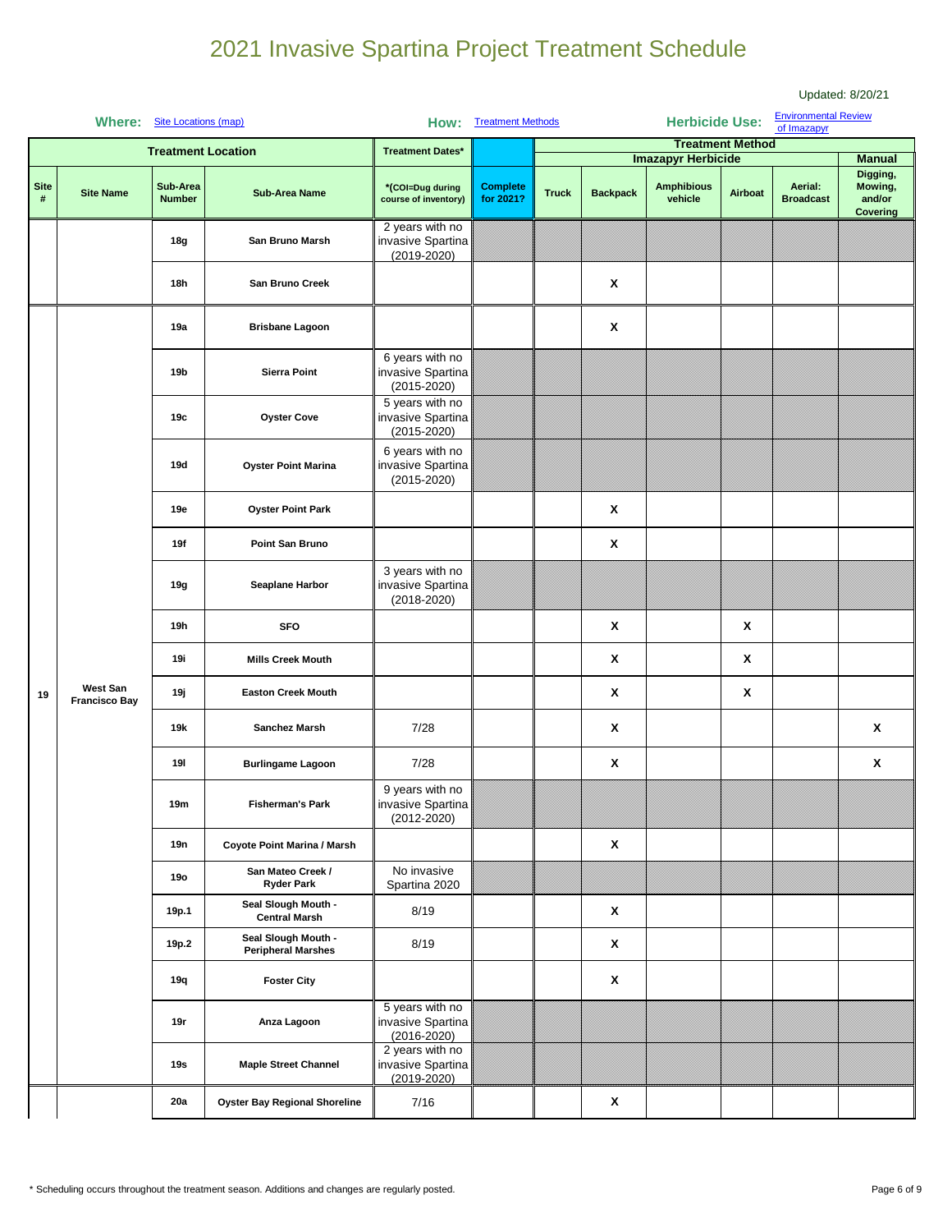|                  |                                         |                                            |                                                                                                                                                                                                |                                                                                                                                                                                                                                                                                                                                               |                                                                               |              |                 |                              |         |                                            | Updated: 8/20/21              |
|------------------|-----------------------------------------|--------------------------------------------|------------------------------------------------------------------------------------------------------------------------------------------------------------------------------------------------|-----------------------------------------------------------------------------------------------------------------------------------------------------------------------------------------------------------------------------------------------------------------------------------------------------------------------------------------------|-------------------------------------------------------------------------------|--------------|-----------------|------------------------------|---------|--------------------------------------------|-------------------------------|
|                  | Where: Site Locations (map)             |                                            |                                                                                                                                                                                                |                                                                                                                                                                                                                                                                                                                                               |                                                                               |              |                 |                              |         | <b>Environmental Review</b><br>of Imazapyr |                               |
|                  |                                         | <b>Treatment Location</b>                  |                                                                                                                                                                                                |                                                                                                                                                                                                                                                                                                                                               |                                                                               |              |                 |                              |         |                                            |                               |
|                  |                                         |                                            |                                                                                                                                                                                                |                                                                                                                                                                                                                                                                                                                                               |                                                                               |              |                 |                              |         |                                            | <b>Manual</b><br>Digging,     |
| <b>Site</b><br># | <b>Site Name</b>                        | Sub-Area<br><b>Number</b>                  | <b>Sub-Area Name</b>                                                                                                                                                                           | *(COI=Dug during<br>course of inventory)                                                                                                                                                                                                                                                                                                      | <b>Complete</b><br>for 2021?                                                  | <b>Truck</b> | <b>Backpack</b> | <b>Amphibious</b><br>vehicle | Airboat | Aerial:<br><b>Broadcast</b>                | Mowing,<br>and/or<br>Covering |
|                  |                                         | 18g                                        | San Bruno Marsh                                                                                                                                                                                | 2 years with no<br>invasive Spartina<br>$(2019 - 2020)$                                                                                                                                                                                                                                                                                       |                                                                               |              |                 |                              |         |                                            |                               |
|                  |                                         | 18h                                        | <b>San Bruno Creek</b>                                                                                                                                                                         |                                                                                                                                                                                                                                                                                                                                               |                                                                               |              | X               |                              |         |                                            |                               |
|                  |                                         | 19a                                        | <b>Brisbane Lagoon</b>                                                                                                                                                                         |                                                                                                                                                                                                                                                                                                                                               |                                                                               |              | $\mathbf{x}$    |                              |         |                                            |                               |
|                  |                                         | 19b                                        | <b>Sierra Point</b>                                                                                                                                                                            | 6 years with no<br>invasive Spartina<br>$(2015 - 2020)$                                                                                                                                                                                                                                                                                       |                                                                               |              |                 |                              |         |                                            |                               |
|                  |                                         | 19с                                        | <b>Oyster Cove</b>                                                                                                                                                                             | 5 years with no<br>invasive Spartina<br>$(2015 - 2020)$                                                                                                                                                                                                                                                                                       |                                                                               |              |                 |                              |         |                                            |                               |
|                  |                                         | 19d                                        | <b>Oyster Point Marina</b>                                                                                                                                                                     | 6 years with no<br>invasive Spartina<br>$(2015 - 2020)$                                                                                                                                                                                                                                                                                       |                                                                               |              |                 |                              |         |                                            |                               |
|                  |                                         | 19e                                        | <b>Oyster Point Park</b>                                                                                                                                                                       |                                                                                                                                                                                                                                                                                                                                               |                                                                               |              | X               |                              |         |                                            |                               |
|                  |                                         | 19f                                        | Point San Bruno                                                                                                                                                                                |                                                                                                                                                                                                                                                                                                                                               |                                                                               |              | X               |                              |         |                                            |                               |
|                  |                                         | 19g                                        | Seaplane Harbor                                                                                                                                                                                | 3 years with no<br>invasive Spartina<br>$(2018 - 2020)$                                                                                                                                                                                                                                                                                       |                                                                               |              |                 |                              |         |                                            |                               |
|                  |                                         | 19h                                        | <b>SFO</b>                                                                                                                                                                                     |                                                                                                                                                                                                                                                                                                                                               |                                                                               |              | X               |                              | X       |                                            |                               |
|                  |                                         | 19i                                        | <b>Mills Creek Mouth</b>                                                                                                                                                                       |                                                                                                                                                                                                                                                                                                                                               |                                                                               |              | X               |                              | χ       |                                            |                               |
| 19               | <b>West San</b><br><b>Francisco Bay</b> | 19ј                                        | <b>Easton Creek Mouth</b>                                                                                                                                                                      |                                                                                                                                                                                                                                                                                                                                               |                                                                               |              | X               |                              | X       |                                            |                               |
|                  |                                         | 19k                                        | Sanchez Marsh                                                                                                                                                                                  | How: Treatment Methods<br><b>Treatment Dates*</b><br>X<br>7/28<br>7/28<br>X<br>9 years with no<br>invasive Spartina<br>$(2012 - 2020)$<br>X<br>No invasive<br>Spartina 2020<br>8/19<br>X<br>X<br>8/19<br>X<br>5 years with no<br>invasive Spartina<br>$(2016 - 2020)$<br>2 years with no<br>invasive Spartina<br>$(2019 - 2020)$<br>X<br>7/16 |                                                                               |              |                 |                              | X       |                                            |                               |
|                  |                                         | 191                                        | <b>Burlingame Lagoon</b>                                                                                                                                                                       |                                                                                                                                                                                                                                                                                                                                               | <b>Herbicide Use:</b><br><b>Treatment Method</b><br><b>Imazapyr Herbicide</b> |              |                 | X                            |         |                                            |                               |
|                  |                                         | 19m                                        | <b>Fisherman's Park</b>                                                                                                                                                                        |                                                                                                                                                                                                                                                                                                                                               |                                                                               |              |                 |                              |         |                                            |                               |
|                  |                                         | 19n                                        | Coyote Point Marina / Marsh<br>San Mateo Creek /<br><b>Ryder Park</b><br>Seal Slough Mouth -<br><b>Central Marsh</b><br>Seal Slough Mouth -<br><b>Peripheral Marshes</b><br><b>Foster City</b> |                                                                                                                                                                                                                                                                                                                                               |                                                                               |              |                 |                              |         |                                            |                               |
|                  |                                         | <b>19o</b><br>19p.1<br>19p.2<br>19q<br>19r |                                                                                                                                                                                                |                                                                                                                                                                                                                                                                                                                                               |                                                                               |              |                 |                              |         |                                            |                               |
|                  | Anza Lagoon<br>19s                      |                                            |                                                                                                                                                                                                |                                                                                                                                                                                                                                                                                                                                               |                                                                               |              |                 |                              |         |                                            |                               |
|                  |                                         |                                            |                                                                                                                                                                                                |                                                                                                                                                                                                                                                                                                                                               |                                                                               |              |                 |                              |         |                                            |                               |
|                  |                                         |                                            |                                                                                                                                                                                                |                                                                                                                                                                                                                                                                                                                                               |                                                                               |              |                 |                              |         |                                            |                               |
|                  |                                         |                                            |                                                                                                                                                                                                |                                                                                                                                                                                                                                                                                                                                               |                                                                               |              |                 |                              |         |                                            |                               |
|                  |                                         |                                            | <b>Maple Street Channel</b>                                                                                                                                                                    |                                                                                                                                                                                                                                                                                                                                               |                                                                               |              |                 |                              |         |                                            |                               |
|                  |                                         | 20a                                        | <b>Oyster Bay Regional Shoreline</b>                                                                                                                                                           |                                                                                                                                                                                                                                                                                                                                               |                                                                               |              |                 |                              |         |                                            |                               |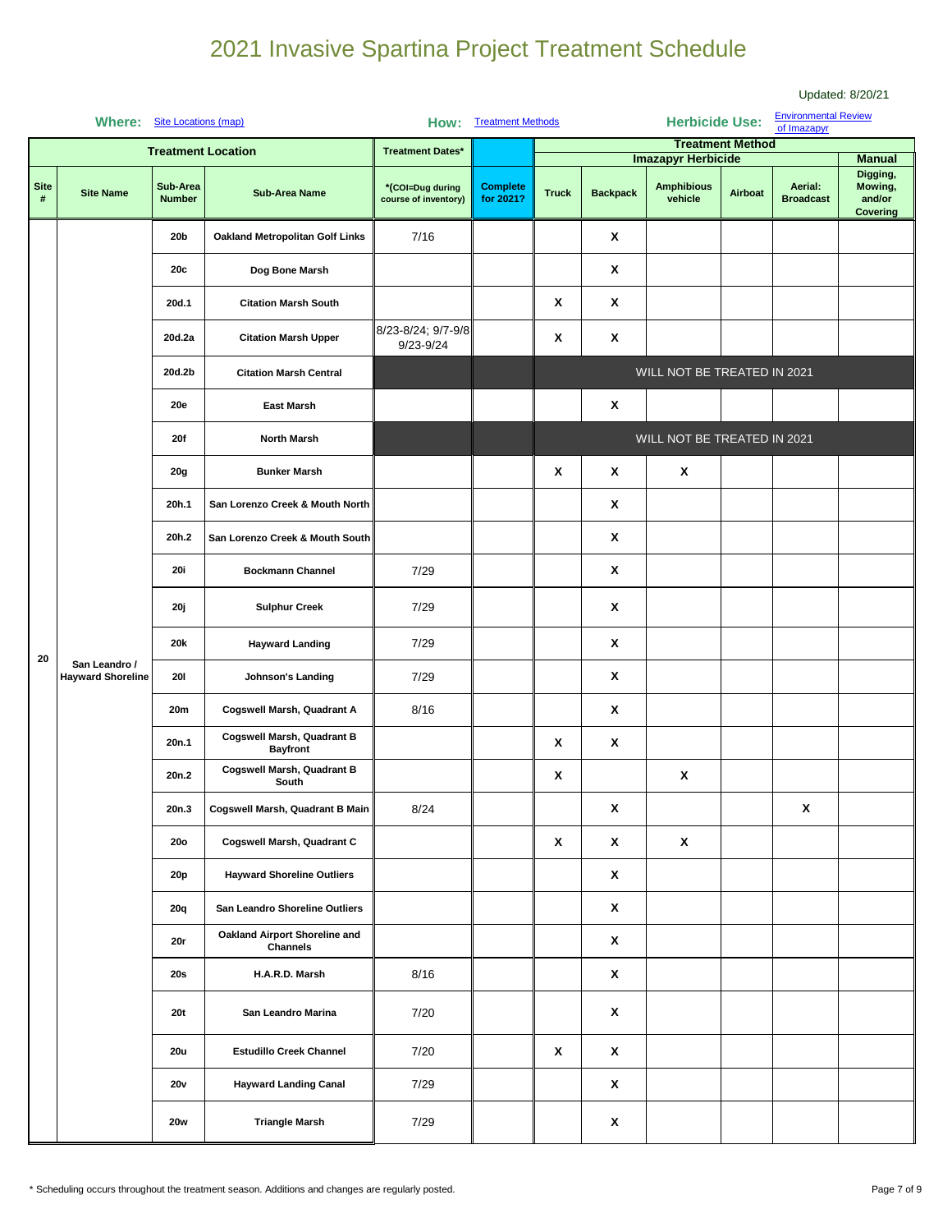|                  |                             |                                              |                                               |                                          |                              |                       |                                                                                                                                      |                              |                         |                                            | Updated: 8/20/21                                 |
|------------------|-----------------------------|----------------------------------------------|-----------------------------------------------|------------------------------------------|------------------------------|-----------------------|--------------------------------------------------------------------------------------------------------------------------------------|------------------------------|-------------------------|--------------------------------------------|--------------------------------------------------|
|                  | Where: Site Locations (map) |                                              |                                               |                                          | How: Treatment Methods       |                       |                                                                                                                                      | <b>Herbicide Use:</b>        |                         | <b>Environmental Review</b><br>of Imazapyr |                                                  |
|                  |                             |                                              | <b>Treatment Location</b>                     | <b>Treatment Dates*</b>                  |                              |                       |                                                                                                                                      | <b>Imazapyr Herbicide</b>    | <b>Treatment Method</b> |                                            | <b>Manual</b>                                    |
| <b>Site</b><br># | <b>Site Name</b>            | Sub-Area<br><b>Number</b>                    | <b>Sub-Area Name</b>                          | *(COI=Dug during<br>course of inventory) | <b>Complete</b><br>for 2021? | <b>Truck</b>          | <b>Backpack</b>                                                                                                                      | <b>Amphibious</b><br>vehicle | Airboat                 | Aerial:<br><b>Broadcast</b>                | Digging,<br>Mowing,<br>and/or<br><b>Covering</b> |
|                  |                             | 20 <sub>b</sub>                              | Oakland Metropolitan Golf Links               | 7/16                                     |                              |                       | X                                                                                                                                    |                              |                         |                                            |                                                  |
|                  |                             | 20c                                          | Dog Bone Marsh                                |                                          |                              |                       | X                                                                                                                                    |                              |                         |                                            |                                                  |
|                  |                             | 20d.1                                        | <b>Citation Marsh South</b>                   |                                          |                              | X                     | X                                                                                                                                    |                              | X                       |                                            |                                                  |
|                  |                             | 20d.2a                                       | <b>Citation Marsh Upper</b>                   | 8/23-8/24; 9/7-9/8<br>9/23-9/24          |                              | X                     | X<br>WILL NOT BE TREATED IN 2021<br>X<br>WILL NOT BE TREATED IN 2021<br>X<br>$\boldsymbol{\mathsf{x}}$<br>X<br>X<br>X<br>X<br>X<br>X |                              |                         |                                            |                                                  |
|                  |                             | 20d.2b                                       | <b>Citation Marsh Central</b>                 |                                          |                              |                       |                                                                                                                                      |                              |                         |                                            |                                                  |
|                  |                             | <b>20e</b>                                   | <b>East Marsh</b>                             |                                          |                              |                       |                                                                                                                                      |                              |                         |                                            |                                                  |
|                  |                             | 20f                                          | <b>North Marsh</b>                            |                                          |                              |                       |                                                                                                                                      |                              |                         |                                            |                                                  |
|                  |                             | <b>20g</b>                                   | <b>Bunker Marsh</b>                           |                                          |                              | $\pmb{\mathsf{x}}$    |                                                                                                                                      |                              |                         |                                            |                                                  |
|                  |                             | 20h.1                                        | San Lorenzo Creek & Mouth North               |                                          |                              |                       |                                                                                                                                      | $\pmb{\mathsf{x}}$           |                         |                                            |                                                  |
|                  |                             | 20h.2                                        | San Lorenzo Creek & Mouth South               |                                          |                              | X<br>X<br>X<br>X      |                                                                                                                                      |                              |                         |                                            |                                                  |
|                  |                             | <b>20i</b>                                   | <b>Bockmann Channel</b>                       | 7/29                                     |                              |                       |                                                                                                                                      |                              |                         |                                            |                                                  |
|                  |                             | 20j                                          | <b>Sulphur Creek</b>                          | 7/29                                     |                              |                       |                                                                                                                                      |                              |                         |                                            |                                                  |
| 20               | San Leandro /               | 20k                                          | <b>Hayward Landing</b>                        | 7/29                                     |                              |                       |                                                                                                                                      |                              |                         |                                            |                                                  |
|                  | <b>Hayward Shoreline</b>    | <b>201</b><br>20m<br>20n.1<br>20n.2<br>20n.3 | Johnson's Landing                             | 7/29                                     |                              |                       |                                                                                                                                      |                              |                         |                                            |                                                  |
|                  |                             |                                              | Cogswell Marsh, Quadrant A                    | 8/16                                     |                              |                       |                                                                                                                                      |                              |                         |                                            |                                                  |
|                  |                             |                                              | Cogswell Marsh, Quadrant B<br><b>Bayfront</b> |                                          |                              |                       |                                                                                                                                      |                              |                         |                                            |                                                  |
|                  |                             |                                              | Cogswell Marsh, Quadrant B<br>South           |                                          |                              |                       |                                                                                                                                      |                              |                         |                                            |                                                  |
|                  |                             |                                              | Cogswell Marsh, Quadrant B Main               | 8/24                                     |                              |                       | X                                                                                                                                    |                              |                         |                                            |                                                  |
|                  |                             | <b>20o</b>                                   | Cogswell Marsh, Quadrant C                    |                                          |                              | X<br>X<br>X<br>X<br>X |                                                                                                                                      |                              |                         |                                            |                                                  |
|                  |                             | <b>20p</b>                                   | <b>Hayward Shoreline Outliers</b>             |                                          |                              |                       |                                                                                                                                      |                              |                         |                                            |                                                  |
|                  |                             | 20q                                          | San Leandro Shoreline Outliers                |                                          |                              |                       |                                                                                                                                      |                              |                         |                                            |                                                  |
|                  |                             | 20r                                          | Oakland Airport Shoreline and<br>Channels     |                                          |                              |                       | X                                                                                                                                    |                              |                         |                                            |                                                  |
|                  |                             | 20s                                          | H.A.R.D. Marsh                                | 8/16                                     |                              |                       | X                                                                                                                                    |                              |                         |                                            |                                                  |
|                  |                             | <b>20t</b>                                   | San Leandro Marina                            | 7/20                                     |                              |                       | X                                                                                                                                    |                              |                         |                                            |                                                  |
|                  |                             | <b>20u</b>                                   | <b>Estudillo Creek Channel</b>                | 7/20                                     |                              | X                     | X                                                                                                                                    |                              |                         |                                            |                                                  |
|                  |                             | 20v                                          | <b>Hayward Landing Canal</b>                  | 7/29                                     |                              |                       | X                                                                                                                                    |                              |                         |                                            |                                                  |
|                  |                             | <b>20w</b>                                   | <b>Triangle Marsh</b>                         | 7/29                                     |                              |                       | X                                                                                                                                    |                              |                         |                                            |                                                  |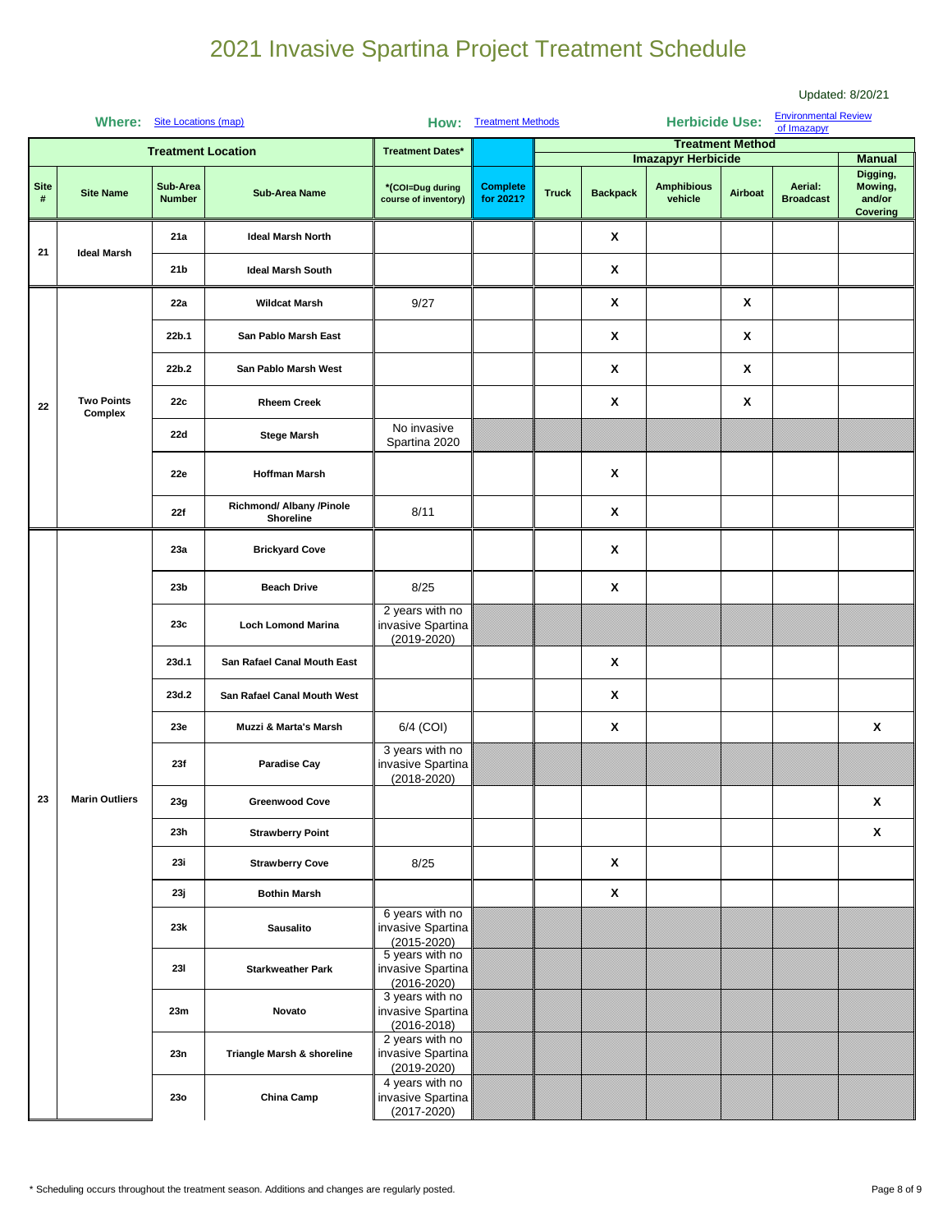|                  |                              |                                        |                                                                                                                                                                                                                              |                                                                                                                                                                                                                                            |                                                                                                                        |              |                 |                                                      |             |                             | Updated: 8/20/21                          |
|------------------|------------------------------|----------------------------------------|------------------------------------------------------------------------------------------------------------------------------------------------------------------------------------------------------------------------------|--------------------------------------------------------------------------------------------------------------------------------------------------------------------------------------------------------------------------------------------|------------------------------------------------------------------------------------------------------------------------|--------------|-----------------|------------------------------------------------------|-------------|-----------------------------|-------------------------------------------|
|                  | Where: Site Locations (map)  |                                        |                                                                                                                                                                                                                              |                                                                                                                                                                                                                                            |                                                                                                                        |              |                 |                                                      |             | <b>Environmental Review</b> |                                           |
|                  |                              |                                        |                                                                                                                                                                                                                              |                                                                                                                                                                                                                                            |                                                                                                                        |              |                 |                                                      |             |                             |                                           |
|                  |                              | <b>Treatment Location</b>              |                                                                                                                                                                                                                              | <b>Treatment Dates*</b>                                                                                                                                                                                                                    |                                                                                                                        |              |                 |                                                      |             |                             | <b>Manual</b>                             |
| <b>Site</b><br># | <b>Site Name</b>             | Sub-Area<br><b>Number</b>              | <b>Sub-Area Name</b>                                                                                                                                                                                                         | *(COI=Dug during<br>course of inventory)                                                                                                                                                                                                   | <b>Complete</b><br>for 2021?                                                                                           | <b>Truck</b> | <b>Backpack</b> | <b>Amphibious</b><br>vehicle                         | Airboat     | Aerial:<br><b>Broadcast</b> | Digging,<br>Mowing,<br>and/or<br>Covering |
| 21               | <b>Ideal Marsh</b>           | 21a                                    | <b>Ideal Marsh North</b>                                                                                                                                                                                                     |                                                                                                                                                                                                                                            |                                                                                                                        |              | X               |                                                      |             |                             |                                           |
|                  |                              | 21 <sub>b</sub>                        | <b>Ideal Marsh South</b>                                                                                                                                                                                                     |                                                                                                                                                                                                                                            |                                                                                                                        |              | X               |                                                      |             |                             |                                           |
|                  |                              | 22a                                    | <b>Wildcat Marsh</b>                                                                                                                                                                                                         | 9/27                                                                                                                                                                                                                                       |                                                                                                                        |              | X               |                                                      | X           |                             |                                           |
|                  |                              | 22b.1                                  | San Pablo Marsh East                                                                                                                                                                                                         |                                                                                                                                                                                                                                            |                                                                                                                        |              | X               | X<br>X<br>X<br>X<br>X<br>X<br>$\mathbf{x}$<br>X<br>X | X           |                             |                                           |
|                  |                              | 22b.2                                  | San Pablo Marsh West                                                                                                                                                                                                         |                                                                                                                                                                                                                                            |                                                                                                                        |              |                 |                                                      | X           |                             |                                           |
| 22               | <b>Two Points</b><br>Complex | 22c                                    | <b>Rheem Creek</b>                                                                                                                                                                                                           |                                                                                                                                                                                                                                            |                                                                                                                        |              |                 |                                                      | X           |                             |                                           |
|                  |                              | 22d                                    | <b>Stege Marsh</b>                                                                                                                                                                                                           | Spartina 2020                                                                                                                                                                                                                              |                                                                                                                        |              |                 |                                                      |             |                             |                                           |
|                  |                              | 22e                                    | <b>Hoffman Marsh</b>                                                                                                                                                                                                         |                                                                                                                                                                                                                                            |                                                                                                                        |              |                 |                                                      |             |                             |                                           |
|                  |                              | 22f                                    | Richmond/ Albany /Pinole<br><b>Shoreline</b>                                                                                                                                                                                 | 8/11                                                                                                                                                                                                                                       |                                                                                                                        |              |                 |                                                      |             |                             |                                           |
|                  |                              | 23a                                    | <b>Brickyard Cove</b>                                                                                                                                                                                                        |                                                                                                                                                                                                                                            |                                                                                                                        |              |                 |                                                      |             |                             |                                           |
|                  |                              | 23 <sub>b</sub>                        | <b>Beach Drive</b>                                                                                                                                                                                                           | 8/25                                                                                                                                                                                                                                       |                                                                                                                        |              |                 |                                                      | X<br>X<br>X |                             |                                           |
|                  |                              | 23c                                    | <b>Loch Lomond Marina</b>                                                                                                                                                                                                    | 2 years with no<br>invasive Spartina<br>$(2019 - 2020)$                                                                                                                                                                                    |                                                                                                                        |              | X<br>X          |                                                      |             |                             |                                           |
|                  |                              | 23d.1                                  | San Rafael Canal Mouth East                                                                                                                                                                                                  |                                                                                                                                                                                                                                            |                                                                                                                        |              |                 |                                                      |             |                             |                                           |
|                  |                              | 23d.2                                  | San Rafael Canal Mouth West                                                                                                                                                                                                  |                                                                                                                                                                                                                                            |                                                                                                                        |              |                 |                                                      |             |                             |                                           |
|                  |                              | 23e                                    | Muzzi & Marta's Marsh                                                                                                                                                                                                        | 6/4 (COI)                                                                                                                                                                                                                                  |                                                                                                                        |              |                 |                                                      |             |                             |                                           |
|                  |                              | 23f                                    | <b>Paradise Cay</b>                                                                                                                                                                                                          | invasive Spartina<br>$(2018 - 2020)$                                                                                                                                                                                                       |                                                                                                                        |              |                 |                                                      |             |                             |                                           |
| 23               | <b>Marin Outliers</b>        | 23g                                    | <b>Greenwood Cove</b>                                                                                                                                                                                                        |                                                                                                                                                                                                                                            | <b>Herbicide Use:</b><br>How: Treatment Methods<br>of Imazapyr<br><b>Treatment Method</b><br><b>Imazapyr Herbicide</b> |              |                 |                                                      |             |                             |                                           |
|                  |                              | 23h                                    | <b>Strawberry Point</b>                                                                                                                                                                                                      | No invasive<br>3 years with no<br>8/25<br>6 years with no<br>invasive Spartina<br>$(2015 - 2020)$<br>5 years with no<br>invasive Spartina<br>$(2016 - 2020)$<br>3 years with no<br>invasive Spartina<br>$(2016 - 2018)$<br>2 years with no |                                                                                                                        |              |                 |                                                      |             |                             |                                           |
|                  |                              | <b>23i</b><br>23j<br>23k<br><b>231</b> | <b>Strawberry Cove</b>                                                                                                                                                                                                       |                                                                                                                                                                                                                                            |                                                                                                                        |              |                 |                                                      |             |                             |                                           |
|                  |                              |                                        |                                                                                                                                                                                                                              |                                                                                                                                                                                                                                            |                                                                                                                        |              |                 |                                                      |             |                             |                                           |
|                  |                              |                                        | <b>Bothin Marsh</b><br><b>Sausalito</b><br><b>Starkweather Park</b><br>Novato<br>invasive Spartina<br>Triangle Marsh & shoreline<br>$(2019 - 2020)$<br>4 years with no<br>invasive Spartina<br>China Camp<br>$(2017 - 2020)$ |                                                                                                                                                                                                                                            |                                                                                                                        |              |                 |                                                      |             |                             |                                           |
|                  |                              |                                        |                                                                                                                                                                                                                              |                                                                                                                                                                                                                                            |                                                                                                                        |              |                 |                                                      |             |                             |                                           |
|                  |                              | 23m                                    |                                                                                                                                                                                                                              |                                                                                                                                                                                                                                            |                                                                                                                        |              |                 |                                                      |             |                             |                                           |
|                  |                              | 23n                                    |                                                                                                                                                                                                                              |                                                                                                                                                                                                                                            |                                                                                                                        |              |                 |                                                      |             |                             |                                           |
|                  |                              | <b>230</b>                             |                                                                                                                                                                                                                              |                                                                                                                                                                                                                                            |                                                                                                                        |              |                 |                                                      |             |                             |                                           |